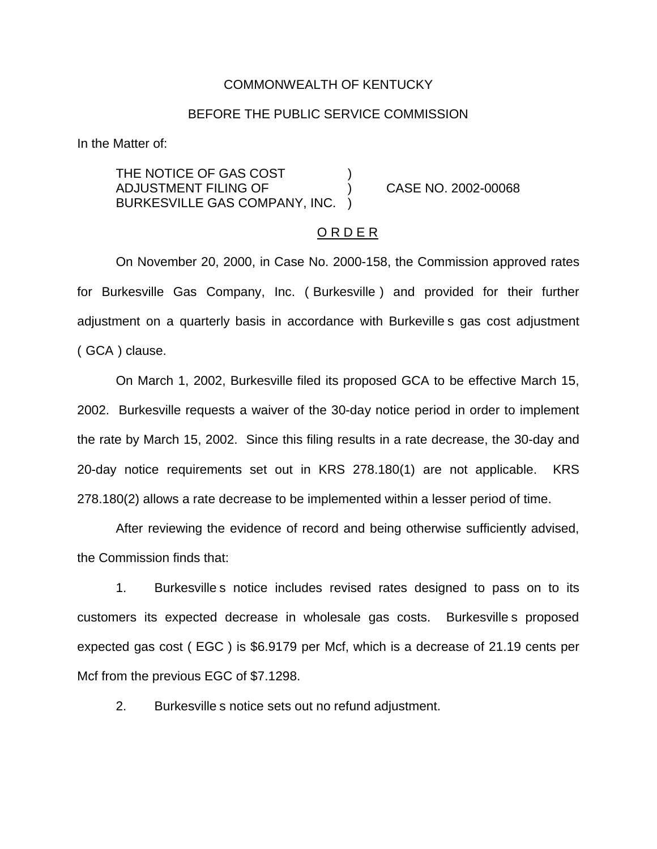### COMMONWEALTH OF KENTUCKY

### BEFORE THE PUBLIC SERVICE COMMISSION

In the Matter of:

THE NOTICE OF GAS COST ADJUSTMENT FILING OF ) CASE NO. 2002-00068 BURKESVILLE GAS COMPANY, INC. )

## O R D E R

On November 20, 2000, in Case No. 2000-158, the Commission approved rates for Burkesville Gas Company, Inc. ( Burkesville ) and provided for their further adjustment on a quarterly basis in accordance with Burkeville s gas cost adjustment ( GCA ) clause.

On March 1, 2002, Burkesville filed its proposed GCA to be effective March 15, 2002. Burkesville requests a waiver of the 30-day notice period in order to implement the rate by March 15, 2002. Since this filing results in a rate decrease, the 30-day and 20-day notice requirements set out in KRS 278.180(1) are not applicable. KRS 278.180(2) allows a rate decrease to be implemented within a lesser period of time.

After reviewing the evidence of record and being otherwise sufficiently advised, the Commission finds that:

1. Burkesville s notice includes revised rates designed to pass on to its customers its expected decrease in wholesale gas costs. Burkesville s proposed expected gas cost ( EGC ) is \$6.9179 per Mcf, which is a decrease of 21.19 cents per Mcf from the previous EGC of \$7.1298.

2. Burkesville s notice sets out no refund adjustment.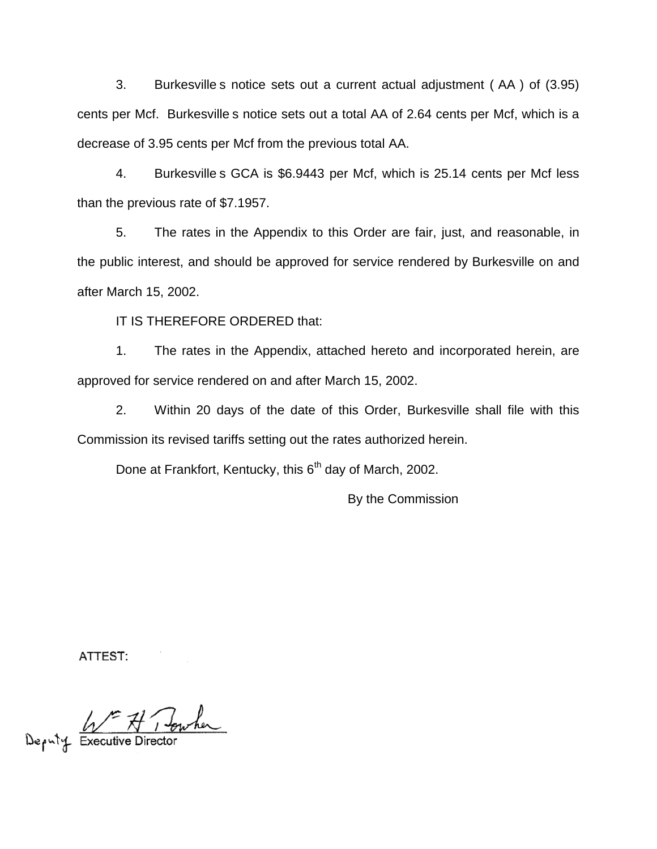3. Burkesville s notice sets out a current actual adjustment ( AA ) of (3.95) cents per Mcf. Burkesville s notice sets out a total AA of 2.64 cents per Mcf, which is a decrease of 3.95 cents per Mcf from the previous total AA.

4. Burkesville s GCA is \$6.9443 per Mcf, which is 25.14 cents per Mcf less than the previous rate of \$7.1957.

5. The rates in the Appendix to this Order are fair, just, and reasonable, in the public interest, and should be approved for service rendered by Burkesville on and after March 15, 2002.

IT IS THEREFORE ORDERED that:

1. The rates in the Appendix, attached hereto and incorporated herein, are approved for service rendered on and after March 15, 2002.

2. Within 20 days of the date of this Order, Burkesville shall file with this Commission its revised tariffs setting out the rates authorized herein.

Done at Frankfort, Kentucky, this 6<sup>th</sup> day of March, 2002.

By the Commission

ATTEST:

F A Towher

Deputy Executive Director